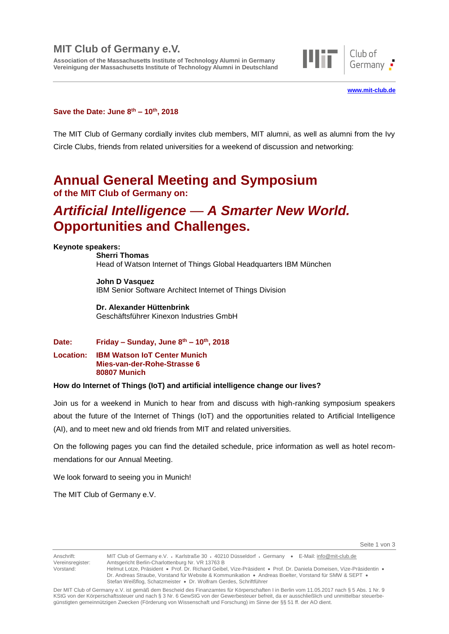# **MIT Club of Germany e.V.**

**Association of the Massachusetts Institute of Technology Alumni in Germany Vereinigung der Massachusetts Institute of Technology Alumni in Deutschland**



**[www.mit-club.de](http://www.mit-club.de/)**

#### **Save the Date: June 8th – 10th, 2018**

The MIT Club of Germany cordially invites club members, MIT alumni, as well as alumni from the Ivy Circle Clubs, friends from related universities for a weekend of discussion and networking:

# **Annual General Meeting and Symposium**

**of the MIT Club of Germany on:**

# *Artificial Intelligence* — *A Smarter New World.* **Opportunities and Challenges.**

#### **Keynote speakers:**

**Sherri Thomas**  Head of Watson Internet of Things Global Headquarters IBM München

**John D Vasquez**  IBM Senior Software Architect Internet of Things Division

**Dr. Alexander Hüttenbrink** Geschäftsführer Kinexon Industries GmbH

**Date: Friday – Sunday, June 8th – 10th, 2018**

**Location: IBM Watson IoT Center Munich Mies-van-der-Rohe-Strasse 6 80807 Munich**

#### **How do Internet of Things (IoT) and artificial intelligence change our lives?**

Join us for a weekend in Munich to hear from and discuss with high-ranking symposium speakers about the future of the Internet of Things (IoT) and the opportunities related to Artificial Intelligence (AI), and to meet new and old friends from MIT and related universities.

On the following pages you can find the detailed schedule, price information as well as hotel recommendations for our Annual Meeting.

We look forward to seeing you in Munich!

The MIT Club of Germany e.V.

Seite 1 von 3

Anschrift: MIT Club of Germany e.V. • Karlstraße 30 • 40210 Düsseldorf • Germany • E-Mail[: info@mit-club.de](mailto:info@mit-club.de) Vereinsregister: Amtsgericht Berlin-Charlottenburg Nr. VR 13763 B

Vorstand: Helmut Lotze, Präsident • Prof. Dr. Richard Geibel, Vize-Präsident • Prof. Dr. Daniela Domeisen, Vize-Präsidentin • Dr. Andreas Straube, Vorstand für Website & Kommunikation • Andreas Boelter, Vorstand für SMW & SEPT • Stefan Weißflog, Schatzmeister • Dr. Wolfram Gerdes, Schriftführer

Der MIT Club of Germany e.V. ist gemäß dem Bescheid des Finanzamtes für Körperschaften I in Berlin vom 11.05.2017 nach § 5 Abs. 1 Nr. 9 KStG von der Körperschaftssteuer und nach § 3 Nr. 6 GewStG von der Gewerbesteuer befreit, da er ausschließlich und unmittelbar steuerbegünstigten gemeinnützigen Zwecken (Förderung von Wissenschaft und Forschung) im Sinne der §§ 51 ff. der AO dient.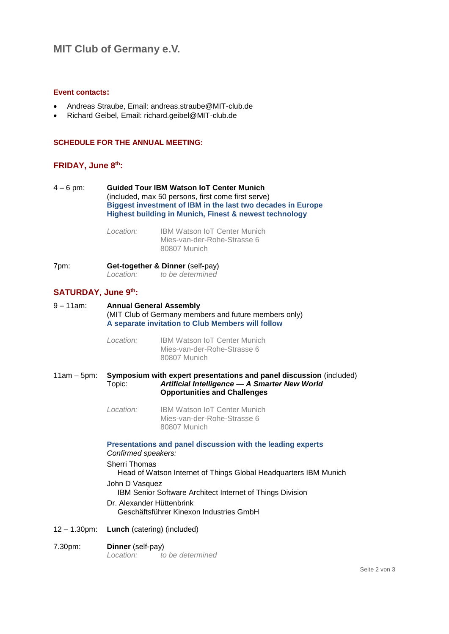#### **Event contacts:**

- Andreas Straube, Email: andreas.straube@MIT-club.de
- Richard Geibel, Email: richard.geibel@MIT-club.de

#### **SCHEDULE FOR THE ANNUAL MEETING:**

## **FRIDAY, June 8th:**

4 – 6 pm: **Guided Tour IBM Watson IoT Center Munich**  (included, max 50 persons, first come first serve) **Biggest investment of IBM in the last two decades in Europe Highest building in Munich, Finest & newest technology**

| Location: | <b>IBM Watson IoT Center Munich</b> |
|-----------|-------------------------------------|
|           | Mies-van-der-Rohe-Strasse 6         |
|           | 80807 Munich                        |

7pm: **Get-together & Dinner** (self-pay) *Location: to be determined*

#### **SATURDAY, June 9th:**

9 – 11am: **Annual General Assembly**  (MIT Club of Germany members and future members only) **A separate invitation to Club Members will follow** 

| Location: | <b>IBM Watson IoT Center Munich</b> |
|-----------|-------------------------------------|
|           | Mies-van-der-Rohe-Strasse 6         |
|           | 80807 Munich                        |

11am – 5pm: **Symposium with expert presentations and panel discussion** (included) Topic: *Artificial Intelligence — A Smarter New World* **Opportunities and Challenges**

| Location: | <b>IBM Watson IoT Center Munich</b> |
|-----------|-------------------------------------|
|           | Mies-van-der-Rohe-Strasse 6         |
|           | 80807 Munich                        |

**Presentations and panel discussion with the leading experts** *Confirmed speakers:*

Sherri Thomas Head of Watson Internet of Things Global Headquarters IBM Munich John D Vasquez IBM Senior Software Architect Internet of Things Division Dr. Alexander Hüttenbrink Geschäftsführer Kinexon Industries GmbH

- 12 1.30pm: **Lunch** (catering) (included)
- 7.30pm: **Dinner** (self-pay) *Location: to be determined*